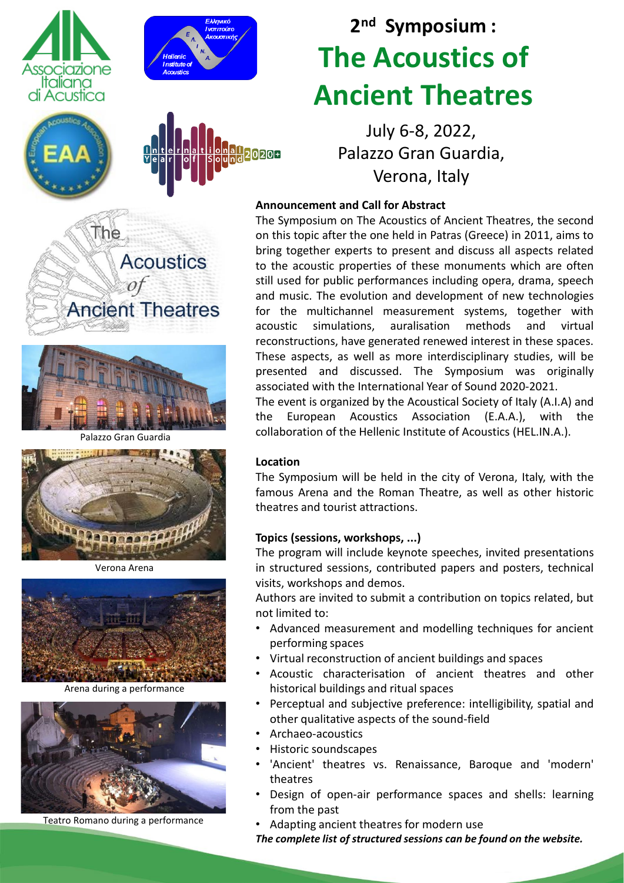



# **2 nd Symposium : The Acoustics of Ancient Theatres**

July 6-8, 2022, Palazzo Gran Guardia, Verona, Italy

## **Announcement and Call for Abstract**

The Symposium on The Acoustics of Ancient Theatres, the second on this topic after the one held in Patras (Greece) in 2011, aims to bring together experts to present and discuss all aspects related to the acoustic properties of these monuments which are often still used for public performances including opera, drama, speech and music. The evolution and development of new technologies for the multichannel measurement systems, together with acoustic simulations, auralisation methods and virtual reconstructions, have generated renewed interest in these spaces. These aspects, as well as more interdisciplinary studies, will be presented and discussed. The Symposium was originally associated with the International Year of Sound 2020-2021. The event is organized by the Acoustical Society of Italy (A.I.A) and

the European Acoustics Association (E.A.A.), with the collaboration of the Hellenic Institute of Acoustics (HEL.IN.A.).

#### **Location**

20208

The Symposium will be held in the city of Verona, Italy, with the famous Arena and the Roman Theatre, as well as other historic theatres and tourist attractions.

## **Topics (sessions, workshops, ...)**

The program will include keynote speeches, invited presentations in structured sessions, contributed papers and posters, technical visits, workshops and demos.

Authors are invited to submit a contribution on topics related, but not limited to:

- Advanced measurement and modelling techniques for ancient performing spaces
- Virtual reconstruction of ancient buildings and spaces
- Acoustic characterisation of ancient theatres and other historical buildings and ritual spaces
- Perceptual and subjective preference: intelligibility, spatial and other qualitative aspects of the sound-field
- Archaeo-acoustics
	- Historic soundscapes
- 'Ancient' theatres vs. Renaissance, Baroque and 'modern' theatres
- Design of open-air performance spaces and shells: learning from the past
- Adapting ancient theatres for modern use

*The complete list of structured sessions can be found on the website.*





Palazzo Gran Guardia



Verona Arena



Arena during a performance



Teatro Romano during a performance